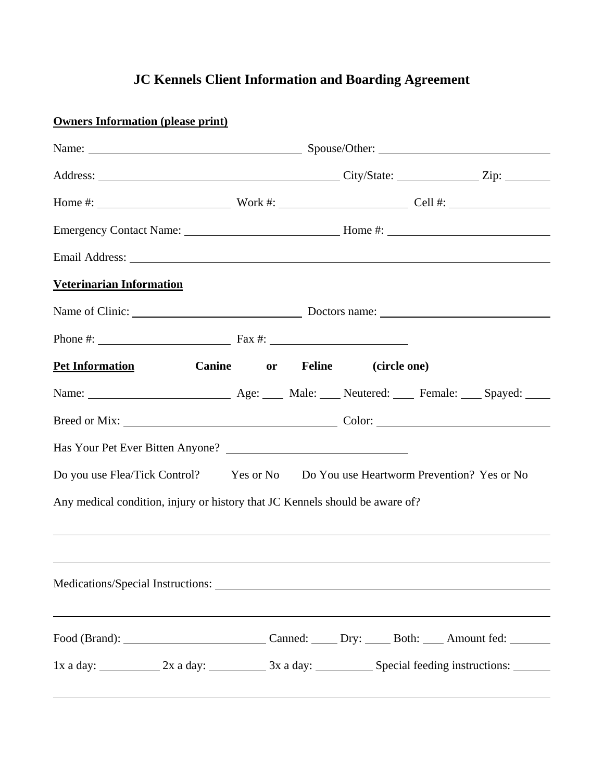## **JC Kennels Client Information and Boarding Agreement**

| <b>Owners Information (please print)</b>                                           |                                                                                                                                                                                                                                |  |  |  |  |
|------------------------------------------------------------------------------------|--------------------------------------------------------------------------------------------------------------------------------------------------------------------------------------------------------------------------------|--|--|--|--|
|                                                                                    | Name: Name: Name: Spouse/Other: Name: Name: Name: Name: Name: Name: Name: Name: Name: Name: Name: Name: Name: Name: Name: Name: Name: Name: Name: Name: Name: Name: Name: Name: Name: Name: Name: Name: Name: Name: Name: Name |  |  |  |  |
|                                                                                    |                                                                                                                                                                                                                                |  |  |  |  |
|                                                                                    |                                                                                                                                                                                                                                |  |  |  |  |
|                                                                                    |                                                                                                                                                                                                                                |  |  |  |  |
|                                                                                    |                                                                                                                                                                                                                                |  |  |  |  |
| <b>Veterinarian Information</b>                                                    |                                                                                                                                                                                                                                |  |  |  |  |
| Name of Clinic: Doctors name: Doctors name:                                        |                                                                                                                                                                                                                                |  |  |  |  |
|                                                                                    |                                                                                                                                                                                                                                |  |  |  |  |
| Pet Information Canine or Feline (circle one)                                      |                                                                                                                                                                                                                                |  |  |  |  |
|                                                                                    |                                                                                                                                                                                                                                |  |  |  |  |
|                                                                                    |                                                                                                                                                                                                                                |  |  |  |  |
|                                                                                    |                                                                                                                                                                                                                                |  |  |  |  |
| Do you use Flea/Tick Control? Yes or No Do You use Heartworm Prevention? Yes or No |                                                                                                                                                                                                                                |  |  |  |  |
| Any medical condition, injury or history that JC Kennels should be aware of?       |                                                                                                                                                                                                                                |  |  |  |  |
|                                                                                    |                                                                                                                                                                                                                                |  |  |  |  |
|                                                                                    |                                                                                                                                                                                                                                |  |  |  |  |
|                                                                                    |                                                                                                                                                                                                                                |  |  |  |  |
|                                                                                    |                                                                                                                                                                                                                                |  |  |  |  |
|                                                                                    |                                                                                                                                                                                                                                |  |  |  |  |
| 1x a day: 2x a day: 2x a day: 3x a day: Special feeding instructions:              |                                                                                                                                                                                                                                |  |  |  |  |
|                                                                                    |                                                                                                                                                                                                                                |  |  |  |  |